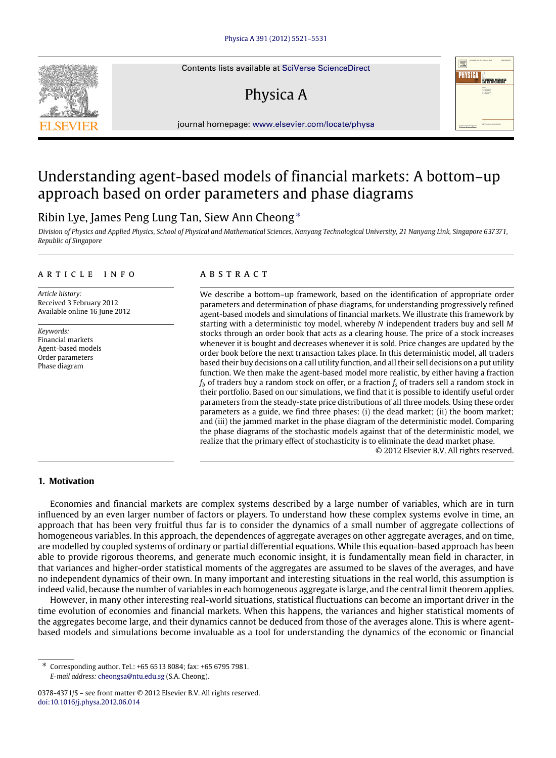Contents lists available at [SciVerse ScienceDirect](http://www.elsevier.com/locate/physa)

# Physica A



journal homepage: [www.elsevier.com/locate/physa](http://www.elsevier.com/locate/physa)

### Understanding agent-based models of financial markets: A bottom–up approach based on order parameters and phase diagrams

### Ribin Lye, James Peng Lung Tan, Siew Ann Cheong [∗](#page-0-0)

*Division of Physics and Applied Physics, School of Physical and Mathematical Sciences, Nanyang Technological University, 21 Nanyang Link, Singapore 637371, Republic of Singapore*

#### a r t i c l e i n f o

*Article history:* Received 3 February 2012 Available online 16 June 2012

*Keywords:* Financial markets Agent-based models Order parameters Phase diagram

### A B S T R A C T

We describe a bottom–up framework, based on the identification of appropriate order parameters and determination of phase diagrams, for understanding progressively refined agent-based models and simulations of financial markets. We illustrate this framework by starting with a deterministic toy model, whereby *N* independent traders buy and sell *M* stocks through an order book that acts as a clearing house. The price of a stock increases whenever it is bought and decreases whenever it is sold. Price changes are updated by the order book before the next transaction takes place. In this deterministic model, all traders based their buy decisions on a call utility function, and all their sell decisions on a put utility function. We then make the agent-based model more realistic, by either having a fraction  $f_b$  of traders buy a random stock on offer, or a fraction  $f_s$  of traders sell a random stock in their portfolio. Based on our simulations, we find that it is possible to identify useful order parameters from the steady-state price distributions of all three models. Using these order parameters as a guide, we find three phases: (i) the dead market; (ii) the boom market; and (iii) the jammed market in the phase diagram of the deterministic model. Comparing the phase diagrams of the stochastic models against that of the deterministic model, we realize that the primary effect of stochasticity is to eliminate the dead market phase.

© 2012 Elsevier B.V. All rights reserved.

#### **1. Motivation**

Economies and financial markets are complex systems described by a large number of variables, which are in turn influenced by an even larger number of factors or players. To understand how these complex systems evolve in time, an approach that has been very fruitful thus far is to consider the dynamics of a small number of aggregate collections of homogeneous variables. In this approach, the dependences of aggregate averages on other aggregate averages, and on time, are modelled by coupled systems of ordinary or partial differential equations. While this equation-based approach has been able to provide rigorous theorems, and generate much economic insight, it is fundamentally mean field in character, in that variances and higher-order statistical moments of the aggregates are assumed to be slaves of the averages, and have no independent dynamics of their own. In many important and interesting situations in the real world, this assumption is indeed valid, because the number of variables in each homogeneous aggregate is large, and the central limit theorem applies.

However, in many other interesting real-world situations, statistical fluctuations can become an important driver in the time evolution of economies and financial markets. When this happens, the variances and higher statistical moments of the aggregates become large, and their dynamics cannot be deduced from those of the averages alone. This is where agentbased models and simulations become invaluable as a tool for understanding the dynamics of the economic or financial

<span id="page-0-0"></span><sup>∗</sup> Corresponding author. Tel.: +65 6513 8084; fax: +65 6795 7981. *E-mail address:* [cheongsa@ntu.edu.sg](mailto:cheongsa@ntu.edu.sg) (S.A. Cheong).

<sup>0378-4371/\$ –</sup> see front matter © 2012 Elsevier B.V. All rights reserved. [doi:10.1016/j.physa.2012.06.014](http://dx.doi.org/10.1016/j.physa.2012.06.014)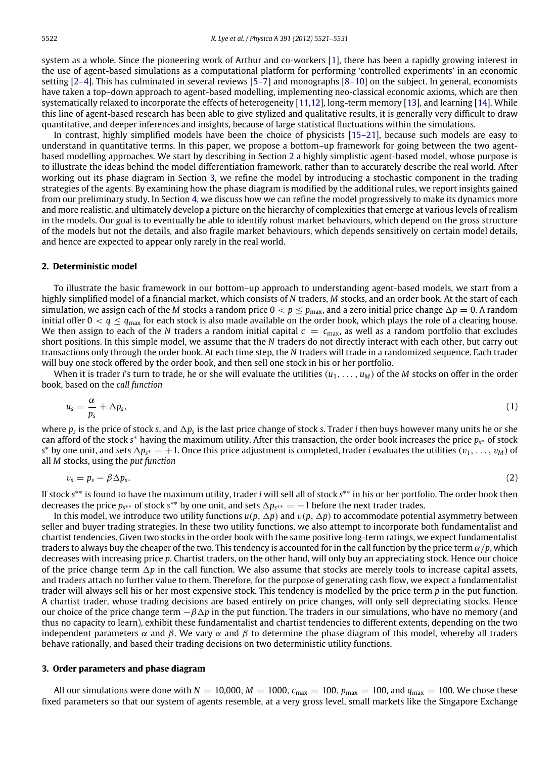system as a whole. Since the pioneering work of Arthur and co-workers [\[1\]](#page--1-0), there has been a rapidly growing interest in the use of agent-based simulations as a computational platform for performing 'controlled experiments' in an economic setting [\[2–4\]](#page--1-1). This has culminated in several reviews [\[5–7\]](#page--1-2) and monographs [\[8–10\]](#page--1-3) on the subject. In general, economists have taken a top–down approach to agent-based modelling, implementing neo-classical economic axioms, which are then systematically relaxed to incorporate the effects of heterogeneity [\[11](#page--1-4)[,12\]](#page--1-5), long-term memory [\[13\]](#page--1-6), and learning [\[14\]](#page--1-7). While this line of agent-based research has been able to give stylized and qualitative results, it is generally very difficult to draw quantitative, and deeper inferences and insights, because of large statistical fluctuations within the simulations.

In contrast, highly simplified models have been the choice of physicists [\[15–21\]](#page--1-8), because such models are easy to understand in quantitative terms. In this paper, we propose a bottom–up framework for going between the two agentbased modelling approaches. We start by describing in Section [2](#page-1-0) a highly simplistic agent-based model, whose purpose is to illustrate the ideas behind the model differentiation framework, rather than to accurately describe the real world. After working out its phase diagram in Section [3,](#page-1-1) we refine the model by introducing a stochastic component in the trading strategies of the agents. By examining how the phase diagram is modified by the additional rules, we report insights gained from our preliminary study. In Section [4,](#page--1-9) we discuss how we can refine the model progressively to make its dynamics more and more realistic, and ultimately develop a picture on the hierarchy of complexities that emerge at various levels of realism in the models. Our goal is to eventually be able to identify robust market behaviours, which depend on the gross structure of the models but not the details, and also fragile market behaviours, which depends sensitively on certain model details, and hence are expected to appear only rarely in the real world.

#### <span id="page-1-0"></span>**2. Deterministic model**

To illustrate the basic framework in our bottom–up approach to understanding agent-based models, we start from a highly simplified model of a financial market, which consists of *N* traders, *M* stocks, and an order book. At the start of each simulation, we assign each of the *M* stocks a random price  $0 < p \le p_{\text{max}}$ , and a zero initial price change  $\Delta p = 0$ . A random initial offer  $0 < q \le q_{\text{max}}$  for each stock is also made available on the order book, which plays the role of a clearing house. We then assign to each of the *N* traders a random initial capital  $c = c_{\text{max}}$ , as well as a random portfolio that excludes short positions. In this simple model, we assume that the *N* traders do not directly interact with each other, but carry out transactions only through the order book. At each time step, the *N* traders will trade in a randomized sequence. Each trader will buy one stock offered by the order book, and then sell one stock in his or her portfolio.

When it is trader *i*'s turn to trade, he or she will evaluate the utilities  $(u_1, \ldots, u_M)$  of the *M* stocks on offer in the order book, based on the *call function*

$$
u_s = \frac{\alpha}{p_s} + \Delta p_s, \tag{1}
$$

where  $p_s$  is the price of stock  $s$ , and  $\Delta p_s$  is the last price change of stock  $s$ . Trader  $i$  then buys however many units he or she can afford of the stock *s* <sup>∗</sup> having the maximum utility. After this transaction, the order book increases the price *<sup>p</sup><sup>s</sup>* <sup>∗</sup> of stock  $s^*$  by one unit, and sets  $\Delta p_{s^*} = +1$ . Once this price adjustment is completed, trader *i* evaluates the utilities  $(v_1, \ldots, v_M)$  of all *M* stocks, using the *put function*

$$
v_{s} = p_{s} - \beta \Delta p_{s}.
$$
 (2)

If stock *s* ∗∗ is found to have the maximum utility, trader *i* will sell all of stock *s* ∗∗ in his or her portfolio. The order book then decreases the price  $p_{s**}$  of stock  $s^{**}$  by one unit, and sets  $\Delta p_{s**} = -1$  before the next trader trades.

In this model, we introduce two utility functions  $u(p, \Delta p)$  and  $v(p, \Delta p)$  to accommodate potential asymmetry between seller and buyer trading strategies. In these two utility functions, we also attempt to incorporate both fundamentalist and chartist tendencies. Given two stocks in the order book with the same positive long-term ratings, we expect fundamentalist traders to always buy the cheaper of the two. This tendency is accounted for in the call function by the price term  $\alpha/p$ , which decreases with increasing price *p*. Chartist traders, on the other hand, will only buy an appreciating stock. Hence our choice of the price change term  $\Delta p$  in the call function. We also assume that stocks are merely tools to increase capital assets, and traders attach no further value to them. Therefore, for the purpose of generating cash flow, we expect a fundamentalist trader will always sell his or her most expensive stock. This tendency is modelled by the price term *p* in the put function. A chartist trader, whose trading decisions are based entirely on price changes, will only sell depreciating stocks. Hence our choice of the price change term −β1*p* in the put function. The traders in our simulations, who have no memory (and thus no capacity to learn), exhibit these fundamentalist and chartist tendencies to different extents, depending on the two independent parameters  $\alpha$  and  $\beta$ . We vary  $\alpha$  and  $\beta$  to determine the phase diagram of this model, whereby all traders behave rationally, and based their trading decisions on two deterministic utility functions.

#### <span id="page-1-1"></span>**3. Order parameters and phase diagram**

All our simulations were done with  $N = 10,000$ ,  $M = 1000$ ,  $c_{\text{max}} = 100$ ,  $p_{\text{max}} = 100$ , and  $q_{\text{max}} = 100$ . We chose these fixed parameters so that our system of agents resemble, at a very gross level, small markets like the Singapore Exchange